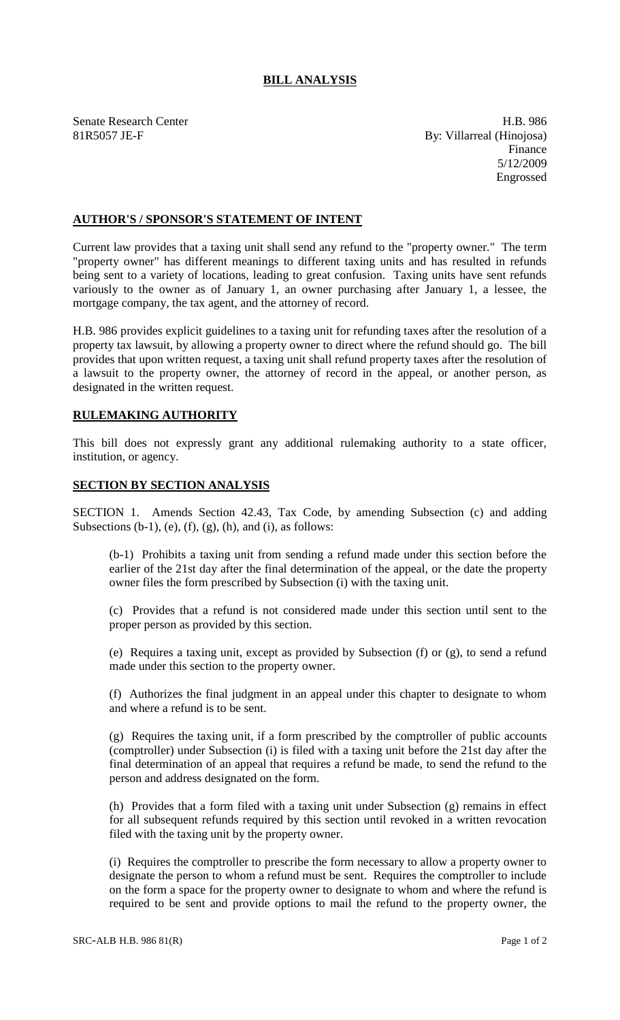## **BILL ANALYSIS**

Senate Research Center **H.B. 986** 81R5057 JE-F By: Villarreal (Hinojosa) Finance 5/12/2009 Engrossed

## **AUTHOR'S / SPONSOR'S STATEMENT OF INTENT**

Current law provides that a taxing unit shall send any refund to the "property owner." The term "property owner" has different meanings to different taxing units and has resulted in refunds being sent to a variety of locations, leading to great confusion. Taxing units have sent refunds variously to the owner as of January 1, an owner purchasing after January 1, a lessee, the mortgage company, the tax agent, and the attorney of record.

H.B. 986 provides explicit guidelines to a taxing unit for refunding taxes after the resolution of a property tax lawsuit, by allowing a property owner to direct where the refund should go. The bill provides that upon written request, a taxing unit shall refund property taxes after the resolution of a lawsuit to the property owner, the attorney of record in the appeal, or another person, as designated in the written request.

## **RULEMAKING AUTHORITY**

This bill does not expressly grant any additional rulemaking authority to a state officer, institution, or agency.

## **SECTION BY SECTION ANALYSIS**

SECTION 1. Amends Section 42.43, Tax Code, by amending Subsection (c) and adding Subsections  $(b-1)$ ,  $(e)$ ,  $(f)$ ,  $(g)$ ,  $(h)$ , and  $(i)$ , as follows:

(b-1) Prohibits a taxing unit from sending a refund made under this section before the earlier of the 21st day after the final determination of the appeal, or the date the property owner files the form prescribed by Subsection (i) with the taxing unit.

(c) Provides that a refund is not considered made under this section until sent to the proper person as provided by this section.

(e) Requires a taxing unit, except as provided by Subsection (f) or (g), to send a refund made under this section to the property owner.

(f) Authorizes the final judgment in an appeal under this chapter to designate to whom and where a refund is to be sent.

(g) Requires the taxing unit, if a form prescribed by the comptroller of public accounts (comptroller) under Subsection (i) is filed with a taxing unit before the 21st day after the final determination of an appeal that requires a refund be made, to send the refund to the person and address designated on the form.

(h) Provides that a form filed with a taxing unit under Subsection (g) remains in effect for all subsequent refunds required by this section until revoked in a written revocation filed with the taxing unit by the property owner.

(i) Requires the comptroller to prescribe the form necessary to allow a property owner to designate the person to whom a refund must be sent. Requires the comptroller to include on the form a space for the property owner to designate to whom and where the refund is required to be sent and provide options to mail the refund to the property owner, the